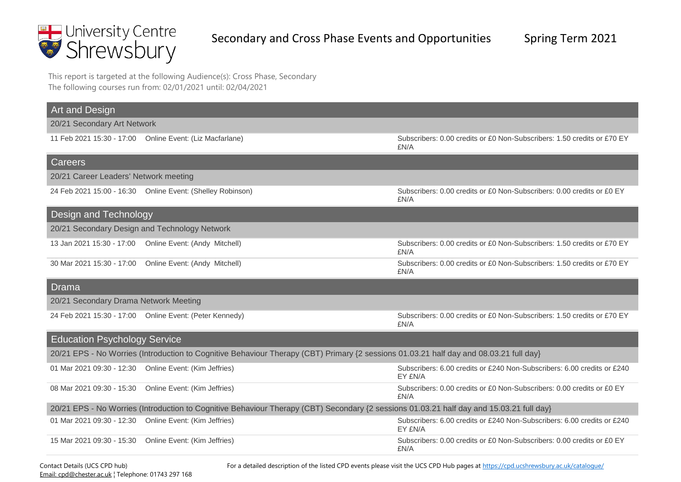

This report is targeted at the following Audience(s): Cross Phase, Secondary The following courses run from: 02/01/2021 until: 02/04/2021

| Art and Design                                                                                                                           |                                                                                                                                        |                                                                                    |  |
|------------------------------------------------------------------------------------------------------------------------------------------|----------------------------------------------------------------------------------------------------------------------------------------|------------------------------------------------------------------------------------|--|
| 20/21 Secondary Art Network                                                                                                              |                                                                                                                                        |                                                                                    |  |
|                                                                                                                                          | 11 Feb 2021 15:30 - 17:00 Online Event: (Liz Macfarlane)                                                                               | Subscribers: 0.00 credits or £0 Non-Subscribers: 1.50 credits or £70 EY<br>£N/A    |  |
| Careers                                                                                                                                  |                                                                                                                                        |                                                                                    |  |
| 20/21 Career Leaders' Network meeting                                                                                                    |                                                                                                                                        |                                                                                    |  |
|                                                                                                                                          | 24 Feb 2021 15:00 - 16:30  Online Event: (Shelley Robinson)                                                                            | Subscribers: 0.00 credits or £0 Non-Subscribers: 0.00 credits or £0 EY<br>£N/A     |  |
| Design and Technology                                                                                                                    |                                                                                                                                        |                                                                                    |  |
|                                                                                                                                          | 20/21 Secondary Design and Technology Network                                                                                          |                                                                                    |  |
|                                                                                                                                          | 13 Jan 2021 15:30 - 17:00  Online Event: (Andy Mitchell)                                                                               | Subscribers: 0.00 credits or £0 Non-Subscribers: 1.50 credits or £70 EY<br>£N/A    |  |
|                                                                                                                                          | 30 Mar 2021 15:30 - 17:00  Online Event: (Andy Mitchell)                                                                               | Subscribers: 0.00 credits or £0 Non-Subscribers: 1.50 credits or £70 EY<br>£N/A    |  |
| Drama                                                                                                                                    |                                                                                                                                        |                                                                                    |  |
| 20/21 Secondary Drama Network Meeting                                                                                                    |                                                                                                                                        |                                                                                    |  |
|                                                                                                                                          | 24 Feb 2021 15:30 - 17:00 Online Event: (Peter Kennedy)                                                                                | Subscribers: 0.00 credits or £0 Non-Subscribers: 1.50 credits or £70 EY<br>£N/A    |  |
| <b>Education Psychology Service</b>                                                                                                      |                                                                                                                                        |                                                                                    |  |
|                                                                                                                                          | 20/21 EPS - No Worries (Introduction to Cognitive Behaviour Therapy (CBT) Primary {2 sessions 01.03.21 half day and 08.03.21 full day} |                                                                                    |  |
|                                                                                                                                          | 01 Mar 2021 09:30 - 12:30  Online Event: (Kim Jeffries)                                                                                | Subscribers: 6.00 credits or £240 Non-Subscribers: 6.00 credits or £240<br>EY £N/A |  |
|                                                                                                                                          | 08 Mar 2021 09:30 - 15:30  Online Event: (Kim Jeffries)                                                                                | Subscribers: 0.00 credits or £0 Non-Subscribers: 0.00 credits or £0 EY<br>£N/A     |  |
| 20/21 EPS - No Worries (Introduction to Cognitive Behaviour Therapy (CBT) Secondary {2 sessions 01.03.21 half day and 15.03.21 full day} |                                                                                                                                        |                                                                                    |  |
|                                                                                                                                          | 01 Mar 2021 09:30 - 12:30  Online Event: (Kim Jeffries)                                                                                | Subscribers: 6.00 credits or £240 Non-Subscribers: 6.00 credits or £240<br>EY £N/A |  |
| 15 Mar 2021 09:30 - 15:30                                                                                                                | Online Event: (Kim Jeffries)                                                                                                           | Subscribers: 0.00 credits or £0 Non-Subscribers: 0.00 credits or £0 EY<br>£N/A     |  |

Contact Details (UCS CPD hub) [Email: cpd@chester.ac.uk](mailto:cpd@chester.ac.uk?subject=Course%20Enquiry) ¦ Telephone: 01743 297 168 For a detailed description of the listed CPD events please visit the UCS CPD Hub pages at https://cpd.ucshrewsbury.ac.uk/catalogue/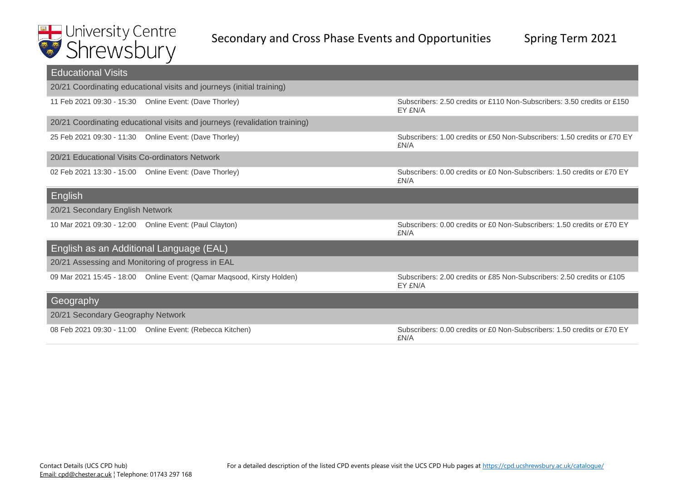| <b>Educational Visits</b>                      |                                                                            |                                                                                    |  |
|------------------------------------------------|----------------------------------------------------------------------------|------------------------------------------------------------------------------------|--|
|                                                | 20/21 Coordinating educational visits and journeys (initial training)      |                                                                                    |  |
|                                                | 11 Feb 2021 09:30 - 15:30  Online Event: (Dave Thorley)                    | Subscribers: 2.50 credits or £110 Non-Subscribers: 3.50 credits or £150<br>EY £N/A |  |
|                                                | 20/21 Coordinating educational visits and journeys (revalidation training) |                                                                                    |  |
|                                                | 25 Feb 2021 09:30 - 11:30 Online Event: (Dave Thorley)                     | Subscribers: 1.00 credits or £50 Non-Subscribers: 1.50 credits or £70 EY<br>£N/A   |  |
| 20/21 Educational Visits Co-ordinators Network |                                                                            |                                                                                    |  |
|                                                | 02 Feb 2021 13:30 - 15:00 Online Event: (Dave Thorley)                     | Subscribers: 0.00 credits or £0 Non-Subscribers: 1.50 credits or £70 EY<br>£N/A    |  |
| English                                        |                                                                            |                                                                                    |  |
| 20/21 Secondary English Network                |                                                                            |                                                                                    |  |
|                                                | 10 Mar 2021 09:30 - 12:00  Online Event: (Paul Clayton)                    | Subscribers: 0.00 credits or £0 Non-Subscribers: 1.50 credits or £70 EY<br>£N/A    |  |
| English as an Additional Language (EAL)        |                                                                            |                                                                                    |  |
|                                                | 20/21 Assessing and Monitoring of progress in EAL                          |                                                                                    |  |
|                                                | 09 Mar 2021 15:45 - 18:00 Online Event: (Qamar Magsood, Kirsty Holden)     | Subscribers: 2.00 credits or £85 Non-Subscribers: 2.50 credits or £105<br>EY £N/A  |  |
| Geography                                      |                                                                            |                                                                                    |  |
| 20/21 Secondary Geography Network              |                                                                            |                                                                                    |  |
|                                                | 08 Feb 2021 09:30 - 11:00 Online Event: (Rebecca Kitchen)                  | Subscribers: 0.00 credits or £0 Non-Subscribers: 1.50 credits or £70 EY<br>£N/A    |  |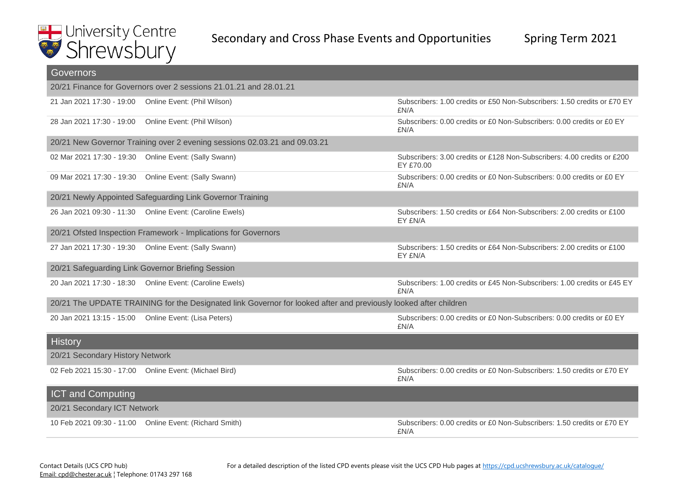| <b>Governors</b>                                                                                                 |                                                                           |                                                                                      |  |
|------------------------------------------------------------------------------------------------------------------|---------------------------------------------------------------------------|--------------------------------------------------------------------------------------|--|
|                                                                                                                  | 20/21 Finance for Governors over 2 sessions 21.01.21 and 28.01.21         |                                                                                      |  |
| 21 Jan 2021 17:30 - 19:00  Online Event: (Phil Wilson)                                                           |                                                                           | Subscribers: 1.00 credits or £50 Non-Subscribers: 1.50 credits or £70 EY<br>£N/A     |  |
| 28 Jan 2021 17:30 - 19:00  Online Event: (Phil Wilson)                                                           |                                                                           | Subscribers: 0.00 credits or £0 Non-Subscribers: 0.00 credits or £0 EY<br>£N/A       |  |
|                                                                                                                  | 20/21 New Governor Training over 2 evening sessions 02.03.21 and 09.03.21 |                                                                                      |  |
|                                                                                                                  | 02 Mar 2021 17:30 - 19:30  Online Event: (Sally Swann)                    | Subscribers: 3.00 credits or £128 Non-Subscribers: 4.00 credits or £200<br>EY £70.00 |  |
|                                                                                                                  | 09 Mar 2021 17:30 - 19:30  Online Event: (Sally Swann)                    | Subscribers: 0.00 credits or £0 Non-Subscribers: 0.00 credits or £0 EY<br>£N/A       |  |
|                                                                                                                  | 20/21 Newly Appointed Safeguarding Link Governor Training                 |                                                                                      |  |
|                                                                                                                  | 26 Jan 2021 09:30 - 11:30  Online Event: (Caroline Ewels)                 | Subscribers: 1.50 credits or £64 Non-Subscribers: 2.00 credits or £100<br>EY £N/A    |  |
|                                                                                                                  | 20/21 Ofsted Inspection Framework - Implications for Governors            |                                                                                      |  |
|                                                                                                                  | 27 Jan 2021 17:30 - 19:30  Online Event: (Sally Swann)                    | Subscribers: 1.50 credits or £64 Non-Subscribers: 2.00 credits or £100<br>EY £N/A    |  |
|                                                                                                                  | 20/21 Safeguarding Link Governor Briefing Session                         |                                                                                      |  |
|                                                                                                                  | 20 Jan 2021 17:30 - 18:30  Online Event: (Caroline Ewels)                 | Subscribers: 1.00 credits or £45 Non-Subscribers: 1.00 credits or £45 EY<br>£N/A     |  |
| 20/21 The UPDATE TRAINING for the Designated link Governor for looked after and previously looked after children |                                                                           |                                                                                      |  |
|                                                                                                                  | 20 Jan 2021 13:15 - 15:00  Online Event: (Lisa Peters)                    | Subscribers: 0.00 credits or £0 Non-Subscribers: 0.00 credits or £0 EY<br>£N/A       |  |
| History                                                                                                          |                                                                           |                                                                                      |  |
| 20/21 Secondary History Network                                                                                  |                                                                           |                                                                                      |  |
|                                                                                                                  | 02 Feb 2021 15:30 - 17:00 Online Event: (Michael Bird)                    | Subscribers: 0.00 credits or £0 Non-Subscribers: 1.50 credits or £70 EY<br>£N/A      |  |
| <b>ICT and Computing</b>                                                                                         |                                                                           |                                                                                      |  |
| 20/21 Secondary ICT Network                                                                                      |                                                                           |                                                                                      |  |
|                                                                                                                  | 10 Feb 2021 09:30 - 11:00 Online Event: (Richard Smith)                   | Subscribers: 0.00 credits or £0 Non-Subscribers: 1.50 credits or £70 EY<br>£N/A      |  |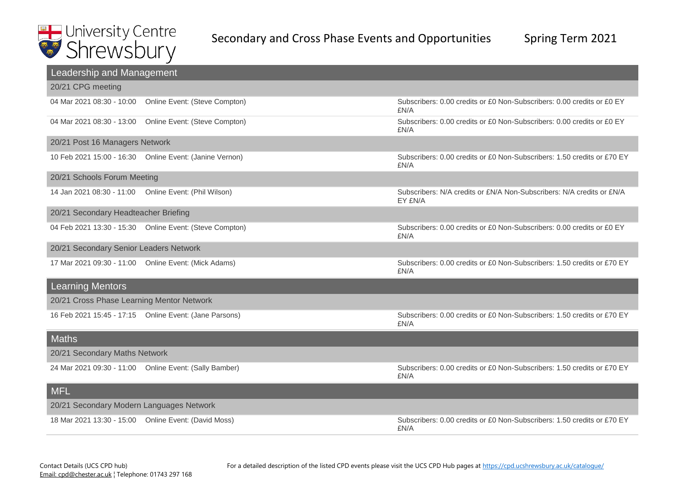| Leadership and Management                 |                                                          |                                                                                  |  |
|-------------------------------------------|----------------------------------------------------------|----------------------------------------------------------------------------------|--|
| 20/21 CPG meeting                         |                                                          |                                                                                  |  |
| 04 Mar 2021 08:30 - 10:00                 | Online Event: (Steve Compton)                            | Subscribers: 0.00 credits or £0 Non-Subscribers: 0.00 credits or £0 EY<br>£N/A   |  |
|                                           | 04 Mar 2021 08:30 - 13:00  Online Event: (Steve Compton) | Subscribers: 0.00 credits or £0 Non-Subscribers: 0.00 credits or £0 EY<br>£N/A   |  |
| 20/21 Post 16 Managers Network            |                                                          |                                                                                  |  |
|                                           | 10 Feb 2021 15:00 - 16:30  Online Event: (Janine Vernon) | Subscribers: 0.00 credits or £0 Non-Subscribers: 1.50 credits or £70 EY<br>£N/A  |  |
| 20/21 Schools Forum Meeting               |                                                          |                                                                                  |  |
|                                           | 14 Jan 2021 08:30 - 11:00  Online Event: (Phil Wilson)   | Subscribers: N/A credits or £N/A Non-Subscribers: N/A credits or £N/A<br>EY £N/A |  |
| 20/21 Secondary Headteacher Briefing      |                                                          |                                                                                  |  |
|                                           | 04 Feb 2021 13:30 - 15:30  Online Event: (Steve Compton) | Subscribers: 0.00 credits or £0 Non-Subscribers: 0.00 credits or £0 EY<br>£N/A   |  |
| 20/21 Secondary Senior Leaders Network    |                                                          |                                                                                  |  |
|                                           | 17 Mar 2021 09:30 - 11:00 Online Event: (Mick Adams)     | Subscribers: 0.00 credits or £0 Non-Subscribers: 1.50 credits or £70 EY<br>£N/A  |  |
| <b>Learning Mentors</b>                   |                                                          |                                                                                  |  |
| 20/21 Cross Phase Learning Mentor Network |                                                          |                                                                                  |  |
|                                           | 16 Feb 2021 15:45 - 17:15  Online Event: (Jane Parsons)  | Subscribers: 0.00 credits or £0 Non-Subscribers: 1.50 credits or £70 EY<br>£N/A  |  |
| <b>Maths</b>                              |                                                          |                                                                                  |  |
| 20/21 Secondary Maths Network             |                                                          |                                                                                  |  |
|                                           | 24 Mar 2021 09:30 - 11:00 Online Event: (Sally Bamber)   | Subscribers: 0.00 credits or £0 Non-Subscribers: 1.50 credits or £70 EY<br>£N/A  |  |
| <b>MFL</b>                                |                                                          |                                                                                  |  |
| 20/21 Secondary Modern Languages Network  |                                                          |                                                                                  |  |
|                                           | 18 Mar 2021 13:30 - 15:00 Online Event: (David Moss)     | Subscribers: 0.00 credits or £0 Non-Subscribers: 1.50 credits or £70 EY<br>£N/A  |  |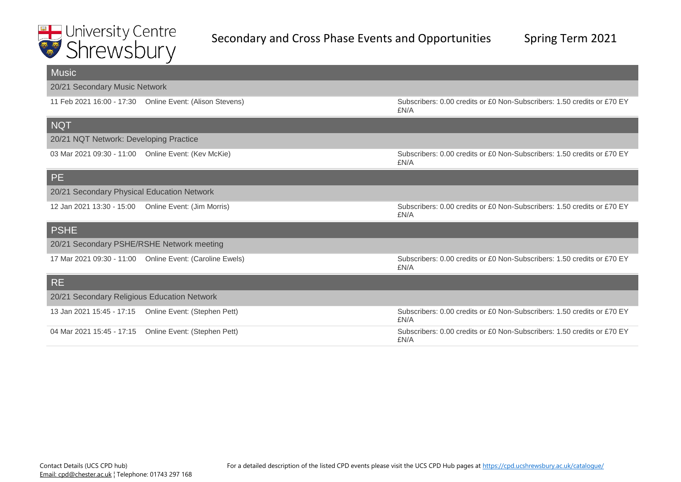| <b>Music</b>                                        |                                                           |                                                                                 |
|-----------------------------------------------------|-----------------------------------------------------------|---------------------------------------------------------------------------------|
| 20/21 Secondary Music Network                       |                                                           |                                                                                 |
|                                                     | 11 Feb 2021 16:00 - 17:30  Online Event: (Alison Stevens) | Subscribers: 0.00 credits or £0 Non-Subscribers: 1.50 credits or £70 EY<br>£N/A |
| <b>NQT</b>                                          |                                                           |                                                                                 |
| 20/21 NQT Network: Developing Practice              |                                                           |                                                                                 |
| 03 Mar 2021 09:30 - 11:00 Online Event: (Kev McKie) |                                                           | Subscribers: 0.00 credits or £0 Non-Subscribers: 1.50 credits or £70 EY<br>£N/A |
| PE                                                  |                                                           |                                                                                 |
| 20/21 Secondary Physical Education Network          |                                                           |                                                                                 |
| 12 Jan 2021 13:30 - 15:00                           | Online Event: (Jim Morris)                                | Subscribers: 0.00 credits or £0 Non-Subscribers: 1.50 credits or £70 EY<br>£N/A |
| <b>PSHE</b>                                         |                                                           |                                                                                 |
| 20/21 Secondary PSHE/RSHE Network meeting           |                                                           |                                                                                 |
|                                                     | 17 Mar 2021 09:30 - 11:00 Online Event: (Caroline Ewels)  | Subscribers: 0.00 credits or £0 Non-Subscribers: 1.50 credits or £70 EY<br>£N/A |
| <b>RE</b>                                           |                                                           |                                                                                 |
| 20/21 Secondary Religious Education Network         |                                                           |                                                                                 |
| 13 Jan 2021 15:45 - 17:15                           | Online Event: (Stephen Pett)                              | Subscribers: 0.00 credits or £0 Non-Subscribers: 1.50 credits or £70 EY<br>£N/A |
| 04 Mar 2021 15:45 - 17:15                           | Online Event: (Stephen Pett)                              | Subscribers: 0.00 credits or £0 Non-Subscribers: 1.50 credits or £70 EY<br>£N/A |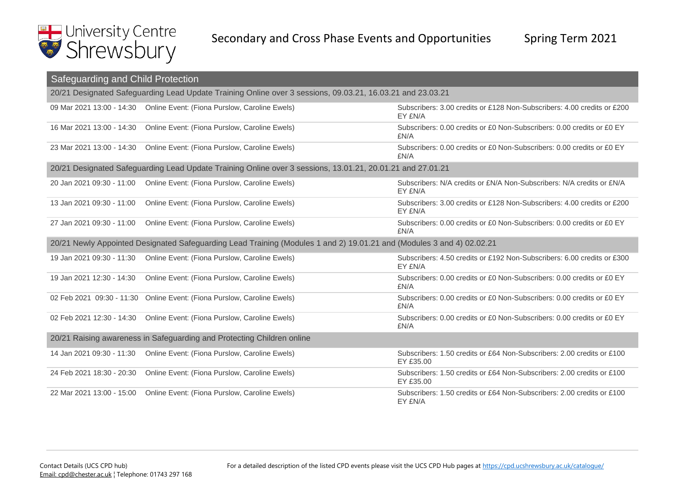

| Safeguarding and Child Protection                                                                                     |                                                                                                            |                                                                                     |  |
|-----------------------------------------------------------------------------------------------------------------------|------------------------------------------------------------------------------------------------------------|-------------------------------------------------------------------------------------|--|
| 20/21 Designated Safeguarding Lead Update Training Online over 3 sessions, 09.03.21, 16.03.21 and 23.03.21            |                                                                                                            |                                                                                     |  |
| 09 Mar 2021 13:00 - 14:30                                                                                             | Online Event: (Fiona Purslow, Caroline Ewels)                                                              | Subscribers: 3.00 credits or £128 Non-Subscribers: 4.00 credits or £200<br>EY £N/A  |  |
| 16 Mar 2021 13:00 - 14:30                                                                                             | Online Event: (Fiona Purslow, Caroline Ewels)                                                              | Subscribers: 0.00 credits or £0 Non-Subscribers: 0.00 credits or £0 EY<br>£N/A      |  |
| 23 Mar 2021 13:00 - 14:30                                                                                             | Online Event: (Fiona Purslow, Caroline Ewels)                                                              | Subscribers: 0.00 credits or £0 Non-Subscribers: 0.00 credits or £0 EY<br>£N/A      |  |
|                                                                                                                       | 20/21 Designated Safeguarding Lead Update Training Online over 3 sessions, 13.01.21, 20.01.21 and 27.01.21 |                                                                                     |  |
| 20 Jan 2021 09:30 - 11:00                                                                                             | Online Event: (Fiona Purslow, Caroline Ewels)                                                              | Subscribers: N/A credits or £N/A Non-Subscribers: N/A credits or £N/A<br>EY £N/A    |  |
| 13 Jan 2021 09:30 - 11:00                                                                                             | Online Event: (Fiona Purslow, Caroline Ewels)                                                              | Subscribers: 3.00 credits or £128 Non-Subscribers: 4.00 credits or £200<br>EY £N/A  |  |
| 27 Jan 2021 09:30 - 11:00                                                                                             | Online Event: (Fiona Purslow, Caroline Ewels)                                                              | Subscribers: 0.00 credits or £0 Non-Subscribers: 0.00 credits or £0 EY<br>£N/A      |  |
| 20/21 Newly Appointed Designated Safeguarding Lead Training (Modules 1 and 2) 19.01.21 and (Modules 3 and 4) 02.02.21 |                                                                                                            |                                                                                     |  |
| 19 Jan 2021 09:30 - 11:30                                                                                             | Online Event: (Fiona Purslow, Caroline Ewels)                                                              | Subscribers: 4.50 credits or £192 Non-Subscribers: 6.00 credits or £300<br>EY £N/A  |  |
| 19 Jan 2021 12:30 - 14:30                                                                                             | Online Event: (Fiona Purslow, Caroline Ewels)                                                              | Subscribers: 0.00 credits or £0 Non-Subscribers: 0.00 credits or £0 EY<br>£N/A      |  |
| 02 Feb 2021 09:30 - 11:30                                                                                             | Online Event: (Fiona Purslow, Caroline Ewels)                                                              | Subscribers: 0.00 credits or £0 Non-Subscribers: 0.00 credits or £0 EY<br>£N/A      |  |
| 02 Feb 2021 12:30 - 14:30                                                                                             | Online Event: (Fiona Purslow, Caroline Ewels)                                                              | Subscribers: 0.00 credits or £0 Non-Subscribers: 0.00 credits or £0 EY<br>£N/A      |  |
| 20/21 Raising awareness in Safeguarding and Protecting Children online                                                |                                                                                                            |                                                                                     |  |
| 14 Jan 2021 09:30 - 11:30                                                                                             | Online Event: (Fiona Purslow, Caroline Ewels)                                                              | Subscribers: 1.50 credits or £64 Non-Subscribers: 2.00 credits or £100<br>EY £35.00 |  |
| 24 Feb 2021 18:30 - 20:30                                                                                             | Online Event: (Fiona Purslow, Caroline Ewels)                                                              | Subscribers: 1.50 credits or £64 Non-Subscribers: 2.00 credits or £100<br>EY £35.00 |  |
| 22 Mar 2021 13:00 - 15:00                                                                                             | Online Event: (Fiona Purslow, Caroline Ewels)                                                              | Subscribers: 1.50 credits or £64 Non-Subscribers: 2.00 credits or £100<br>EY £N/A   |  |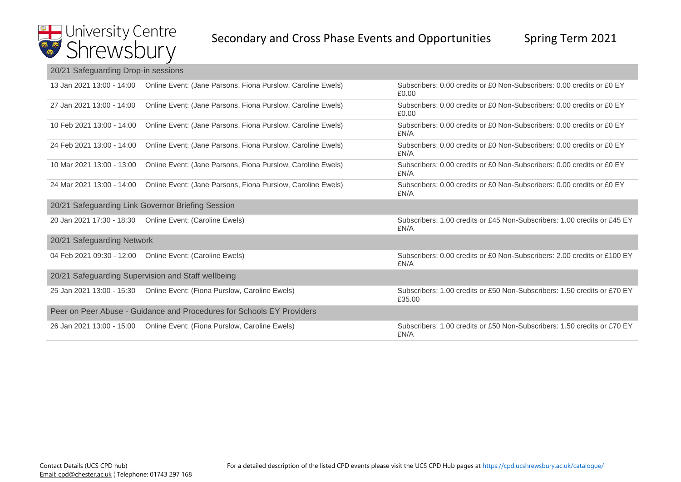#### 20/21 Safeguarding Drop-in sessions

| 13 Jan 2021 13:00 - 14:00                                             | Online Event: (Jane Parsons, Fiona Purslow, Caroline Ewels)              | Subscribers: 0.00 credits or £0 Non-Subscribers: 0.00 credits or £0 EY<br>£0.00    |  |
|-----------------------------------------------------------------------|--------------------------------------------------------------------------|------------------------------------------------------------------------------------|--|
| 27 Jan 2021 13:00 - 14:00                                             | Online Event: (Jane Parsons, Fiona Purslow, Caroline Ewels)              | Subscribers: 0.00 credits or £0 Non-Subscribers: 0.00 credits or £0 EY<br>£0.00    |  |
| 10 Feb 2021 13:00 - 14:00                                             | Online Event: (Jane Parsons, Fiona Purslow, Caroline Ewels)              | Subscribers: 0.00 credits or £0 Non-Subscribers: 0.00 credits or £0 EY<br>£N/A     |  |
| 24 Feb 2021 13:00 - 14:00                                             | Online Event: (Jane Parsons, Fiona Purslow, Caroline Ewels)              | Subscribers: 0.00 credits or £0 Non-Subscribers: 0.00 credits or £0 EY<br>£N/A     |  |
| 10 Mar 2021 13:00 - 13:00                                             | Online Event: (Jane Parsons, Fiona Purslow, Caroline Ewels)              | Subscribers: 0.00 credits or £0 Non-Subscribers: 0.00 credits or £0 EY<br>£N/A     |  |
| 24 Mar 2021 13:00 - 14:00                                             | Online Event: (Jane Parsons, Fiona Purslow, Caroline Ewels)              | Subscribers: 0.00 credits or £0 Non-Subscribers: 0.00 credits or £0 EY<br>£N/A     |  |
| 20/21 Safeguarding Link Governor Briefing Session                     |                                                                          |                                                                                    |  |
|                                                                       | 20 Jan 2021 17:30 - 18:30  Online Event: (Caroline Ewels)                | Subscribers: 1.00 credits or £45 Non-Subscribers: 1.00 credits or £45 EY<br>£N/A   |  |
| 20/21 Safeguarding Network                                            |                                                                          |                                                                                    |  |
|                                                                       | 04 Feb 2021 09:30 - 12:00  Online Event: (Caroline Ewels)                | Subscribers: 0.00 credits or £0 Non-Subscribers: 2.00 credits or £100 EY<br>£N/A   |  |
| 20/21 Safeguarding Supervision and Staff wellbeing                    |                                                                          |                                                                                    |  |
|                                                                       | 25 Jan 2021 13:00 - 15:30  Online Event: (Fiona Purslow, Caroline Ewels) | Subscribers: 1.00 credits or £50 Non-Subscribers: 1.50 credits or £70 EY<br>£35.00 |  |
| Peer on Peer Abuse - Guidance and Procedures for Schools EY Providers |                                                                          |                                                                                    |  |
| 26 Jan 2021 13:00 - 15:00                                             | Online Event: (Fiona Purslow, Caroline Ewels)                            | Subscribers: 1.00 credits or £50 Non-Subscribers: 1.50 credits or £70 EY<br>£N/A   |  |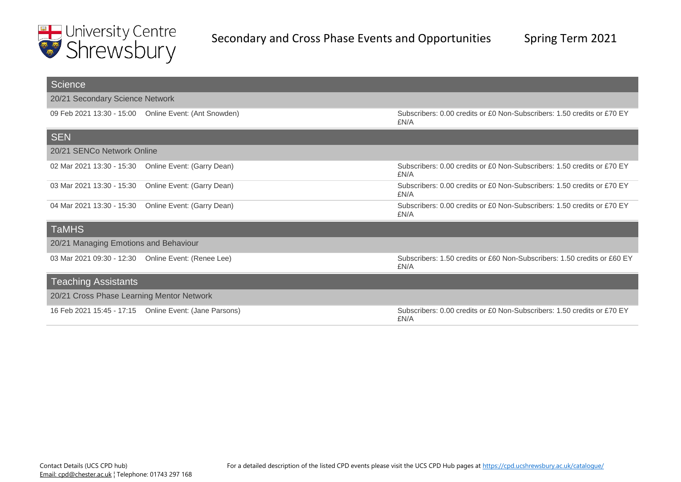

| Science                                   |                                                        |                                                                                  |
|-------------------------------------------|--------------------------------------------------------|----------------------------------------------------------------------------------|
| 20/21 Secondary Science Network           |                                                        |                                                                                  |
| 09 Feb 2021 13:30 - 15:00                 | Online Event: (Ant Snowden)                            | Subscribers: 0.00 credits or £0 Non-Subscribers: 1.50 credits or £70 EY<br>£N/A  |
| <b>SEN</b>                                |                                                        |                                                                                  |
| 20/21 SENCo Network Online                |                                                        |                                                                                  |
| 02 Mar 2021 13:30 - 15:30                 | Online Event: (Garry Dean)                             | Subscribers: 0.00 credits or £0 Non-Subscribers: 1.50 credits or £70 EY<br>£N/A  |
| 03 Mar 2021 13:30 - 15:30                 | Online Event: (Garry Dean)                             | Subscribers: 0.00 credits or £0 Non-Subscribers: 1.50 credits or £70 EY<br>£N/A  |
| 04 Mar 2021 13:30 - 15:30                 | Online Event: (Garry Dean)                             | Subscribers: 0.00 credits or £0 Non-Subscribers: 1.50 credits or £70 EY<br>£N/A  |
| <b>TaMHS</b>                              |                                                        |                                                                                  |
| 20/21 Managing Emotions and Behaviour     |                                                        |                                                                                  |
| 03 Mar 2021 09:30 - 12:30                 | Online Event: (Renee Lee)                              | Subscribers: 1.50 credits or £60 Non-Subscribers: 1.50 credits or £60 EY<br>£N/A |
| <b>Teaching Assistants</b>                |                                                        |                                                                                  |
| 20/21 Cross Phase Learning Mentor Network |                                                        |                                                                                  |
|                                           | 16 Feb 2021 15:45 - 17:15 Online Event: (Jane Parsons) | Subscribers: 0.00 credits or £0 Non-Subscribers: 1.50 credits or £70 EY<br>£N/A  |